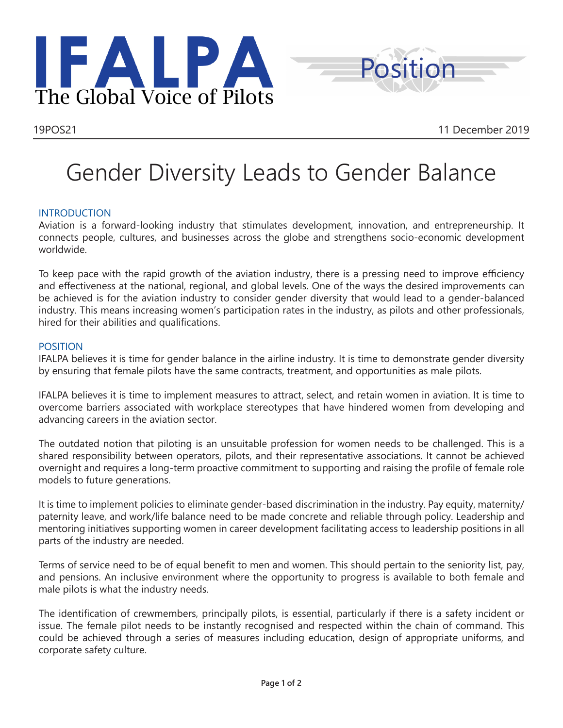



## Gender Diversity Leads to Gender Balance

## **INTRODUCTION**

Aviation is a forward-looking industry that stimulates development, innovation, and entrepreneurship. It connects people, cultures, and businesses across the globe and strengthens socio-economic development worldwide.

To keep pace with the rapid growth of the aviation industry, there is a pressing need to improve efficiency and effectiveness at the national, regional, and global levels. One of the ways the desired improvements can be achieved is for the aviation industry to consider gender diversity that would lead to a gender-balanced industry. This means increasing women's participation rates in the industry, as pilots and other professionals, hired for their abilities and qualifications.

## POSITION

IFALPA believes it is time for gender balance in the airline industry. It is time to demonstrate gender diversity by ensuring that female pilots have the same contracts, treatment, and opportunities as male pilots.

IFALPA believes it is time to implement measures to attract, select, and retain women in aviation. It is time to overcome barriers associated with workplace stereotypes that have hindered women from developing and advancing careers in the aviation sector.

The outdated notion that piloting is an unsuitable profession for women needs to be challenged. This is a shared responsibility between operators, pilots, and their representative associations. It cannot be achieved overnight and requires a long-term proactive commitment to supporting and raising the profile of female role models to future generations.

It is time to implement policies to eliminate gender-based discrimination in the industry. Pay equity, maternity/ paternity leave, and work/life balance need to be made concrete and reliable through policy. Leadership and mentoring initiatives supporting women in career development facilitating access to leadership positions in all parts of the industry are needed.

Terms of service need to be of equal benefit to men and women. This should pertain to the seniority list, pay, and pensions. An inclusive environment where the opportunity to progress is available to both female and male pilots is what the industry needs.

The identification of crewmembers, principally pilots, is essential, particularly if there is a safety incident or issue. The female pilot needs to be instantly recognised and respected within the chain of command. This could be achieved through a series of measures including education, design of appropriate uniforms, and corporate safety culture.